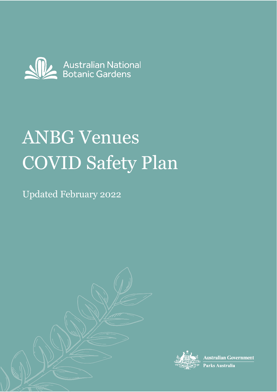

# ANBG Venues COVID Safety Plan

Updated February 2022





**Australian Government** 

Parks Australia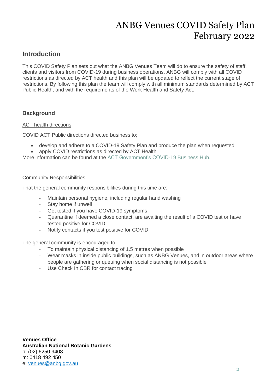# **Introduction**

This COVID Safety Plan sets out what the ANBG Venues Team will do to ensure the safety of staff, clients and visitors from COVID-19 during business operations. ANBG will comply with all COVID restrictions as directed by ACT health and this plan will be updated to reflect the current stage of restrictions. By following this plan the team will comply with all minimum standards determined by ACT Public Health, and with the requirements of the Work Health and Safety Act.

# **Background**

## ACT health directions

COVID ACT Public directions directed business to;

- develop and adhere to a COVID-19 Safety Plan and produce the plan when requested
- apply COVID restrictions as directed by ACT Health

More information can be found at the [ACT Government's COVID-19 Business Hub.](https://www.covid19.act.gov.au/business-hub/restrictions-and-advice)

### Community Responsibilities

That the general community responsibilities during this time are:

- Maintain personal hygiene, including regular hand washing
- Stay home if unwell
- Get tested if you have COVID-19 symptoms
- Quarantine if deemed a close contact, are awaiting the result of a COVID test or have tested positive for COVID
- Notify contacts if you test positive for COVID

The general community is encouraged to;

- To maintain physical distancing of 1.5 metres when possible
- Wear masks in inside public buildings, such as ANBG Venues, and in outdoor areas where people are gathering or queuing when social distancing is not possible
- Use Check In CBR for contact tracing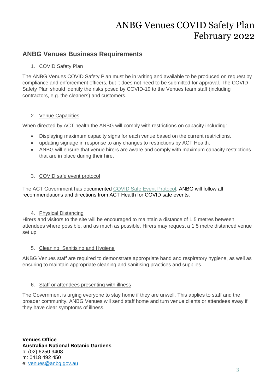# **ANBG Venues Business Requirements**

# 1. COVID Safety Plan

The ANBG Venues COVID Safety Plan must be in writing and available to be produced on request by compliance and enforcement officers, but it does not need to be submitted for approval. The COVID Safety Plan should identify the risks posed by COVID-19 to the Venues team staff (including contractors, e.g. the cleaners) and customers.

# 2. Venue Capacities

When directed by ACT health the ANBG will comply with restrictions on capacity including:

- Displaying maximum capacity signs for each venue based on the current restrictions.
- updating signage in response to any changes to restrictions by ACT Health.
- ANBG will ensure that venue hirers are aware and comply with maximum capacity restrictions that are in place during their hire.

# 3. COVID safe event protocol

The ACT Government has documented [COVID Safe Event Protocol.](https://www.covid19.act.gov.au/what-you-can-do/covid-safe-events) ANBG will follow all recommendations and directions from ACT Health for COVID safe events.

# 4. Physical Distancing

Hirers and visitors to the site will be encouraged to maintain a distance of 1.5 metres between attendees where possible, and as much as possible. Hirers may request a 1.5 metre distanced venue set up.

# 5. Cleaning, Sanitising and Hygiene

ANBG Venues staff are required to demonstrate appropriate hand and respiratory hygiene, as well as ensuring to maintain appropriate cleaning and sanitising practices and supplies.

# 6. Staff or attendees presenting with illness

The Government is urging everyone to stay home if they are unwell. This applies to staff and the broader community. ANBG Venues will send staff home and turn venue clients or attendees away if they have clear symptoms of illness.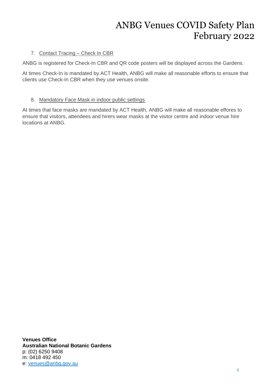# 7. Contact Tracing – Check In CBR

ANBG is registered for Check-In CBR and QR code posters will be displayed across the Gardens.

At times Check-In is mandated by ACT Health, ANBG will make all reasonable efforts to ensure that clients use Check-In CBR when they use venues onsite.

# 8. Mandatory Face Mask in indoor public settings

At times that face masks are mandated by ACT Health, ANBG will make all reasonable effores to ensure that visitors, attendees and hirers wear masks at the visitor centre and indoor venue hire locations at ANBG.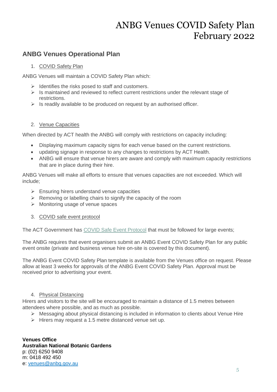# **ANBG Venues Operational Plan**

# 1. COVID Safety Plan

ANBG Venues will maintain a COVID Safety Plan which:

- $\triangleright$  Identifies the risks posed to staff and customers.
- $\triangleright$  Is maintained and reviewed to reflect current restrictions under the relevant stage of restrictions.
- $\triangleright$  Is readily available to be produced on request by an authorised officer.

## 2. Venue Capacities

When directed by ACT health the ANBG will comply with restrictions on capacity including:

- Displaying maximum capacity signs for each venue based on the current restrictions.
- updating signage in response to any changes to restrictions by ACT Health.
- ANBG will ensure that venue hirers are aware and comply with maximum capacity restrictions that are in place during their hire.

ANBG Venues will make all efforts to ensure that venues capacities are not exceeded. Which will include;

- $\triangleright$  Ensuring hirers understand venue capacities
- $\triangleright$  Removing or labelling chairs to signify the capacity of the room
- ➢ Monitoring usage of venue spaces
- 3. COVID safe event protocol

The ACT Government has [COVID Safe Event Protocol](https://www.covid19.act.gov.au/what-you-can-do/covid-safe-events) that must be followed for large events;

The ANBG requires that event organisers submit an ANBG Event COVID Safety Plan for any public event onsite (private and business venue hire on-site is covered by this document).

The ANBG Event COVID Safety Plan template is available from the Venues office on request. Please allow at least 3 weeks for approvals of the ANBG Event COVID Safety Plan. Approval must be received prior to advertising your event.

# 4. Physical Distancing

Hirers and visitors to the site will be encouraged to maintain a distance of 1.5 metres between attendees where possible, and as much as possible.

- ➢ Messaging about physical distancing is included in information to clients about Venue Hire
- ➢ Hirers may request a 1.5 metre distanced venue set up.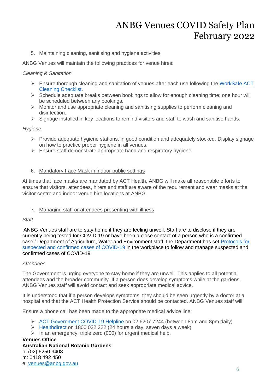## 5. Maintaining cleaning, sanitising and hygiene activities

ANBG Venues will maintain the following practices for venue hires:

## *Cleaning & Sanitation*

- ➢ Ensure thorough cleaning and sanitation of venues after each use following the [WorkSafe ACT](https://www.covid19.act.gov.au/__data/assets/pdf_file/0010/1554184/Fact-Sheet-WorkSafe-Cleaning-Checklist.pdf)  [Cleaning Checklist.](https://www.covid19.act.gov.au/__data/assets/pdf_file/0010/1554184/Fact-Sheet-WorkSafe-Cleaning-Checklist.pdf)
- $\triangleright$  Schedule adequate breaks between bookings to allow for enough cleaning time; one hour will be scheduled between any bookings.
- ➢ Monitor and use appropriate cleaning and sanitising supplies to perform cleaning and disinfection.
- $\triangleright$  Signage installed in key locations to remind visitors and staff to wash and sanitise hands.

## *Hygiene*

- ➢ Provide adequate hygiene stations, in good condition and adequately stocked. Display signage on how to practice proper hygiene in all venues.
- $\triangleright$  Ensure staff demonstrate appropriate hand and respiratory hygiene.

## 6. Mandatory Face Mask in indoor public settings

At times that face masks are mandated by ACT Health, ANBG will make all reasonable efforts to ensure that visitors, attendees, hirers and staff are aware of the requirement and wear masks at the visitor centre and indoor venue hire locations at ANBG.

# 7. Managing staff or attendees presenting with illness

### *Staff*

'ANBG Venues staff are to stay home if they are feeling unwell. Staff are to disclose if they are currently being tested for COVID-19 or have been a close contact of a person who is a confirmed case.' Department of Agriculture, Water and Environment staff, the Department has set [Protocols for](https://ausgovenvironment.sharepoint.com.us2.cas.ms/sites/AWE-intranet/SitePages/Protocol-for-reporting-suspected-cases-of-COVID-19-(Coronavirus)-in-the-workplace.aspx)  [suspected and confirmed cases of COVID-19](https://ausgovenvironment.sharepoint.com.us2.cas.ms/sites/AWE-intranet/SitePages/Protocol-for-reporting-suspected-cases-of-COVID-19-(Coronavirus)-in-the-workplace.aspx) in the workplace to follow and manage suspected and confirmed cases of COVID-19.

### *Attendees*

The Government is urging everyone to stay home if they are unwell. This applies to all potential attendees and the broader community. If a person does develop symptoms while at the gardens, ANBG Venues staff will avoid contact and seek appropriate medical advice.

It is understood that if a person develops symptoms, they should be seen urgently by a doctor at a hospital and that the ACT Health Protection Service should be contacted. ANBG Venues staff will:

Ensure a phone call has been made to the appropriate medical advice line:

- ➢ [ACT Government COVID-19 Helpline](https://www.covid19.act.gov.au/contact-us) on 02 6207 7244 (between 8am and 8pm daily)
- $\triangleright$  [Healthdirect](https://www.healthdirect.gov.au/) on 1800 022 222 (24 hours a day, seven days a week)
- $\triangleright$  In an emergency, triple zero (000) for urgent medical help.